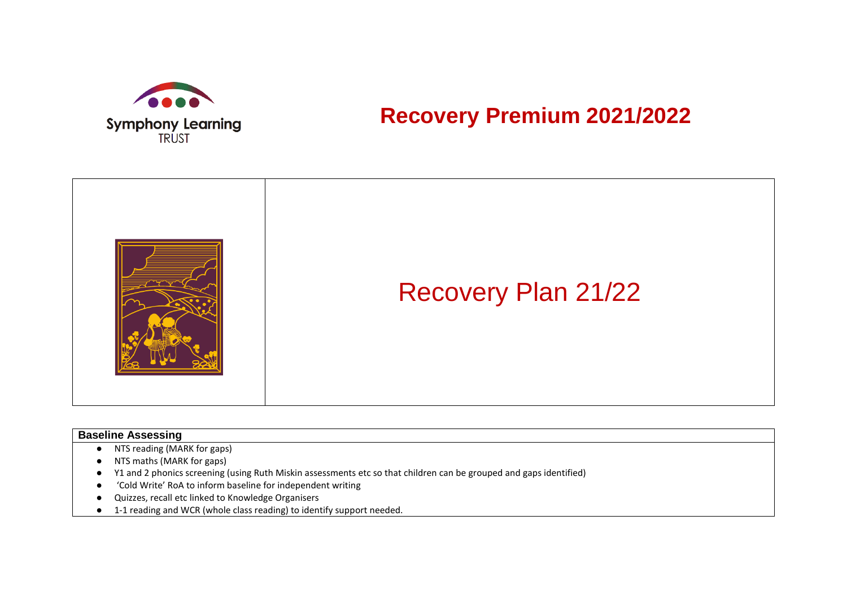

## **Recovery Premium 2021/2022**

|  | <b>Recovery Plan 21/22</b> |
|--|----------------------------|
|--|----------------------------|

## **Baseline Assessing**

- NTS reading (MARK for gaps)
- NTS maths (MARK for gaps)
- Y1 and 2 phonics screening (using Ruth Miskin assessments etc so that children can be grouped and gaps identified)
- 'Cold Write' RoA to inform baseline for independent writing
- Quizzes, recall etc linked to Knowledge Organisers
- 1-1 reading and WCR (whole class reading) to identify support needed.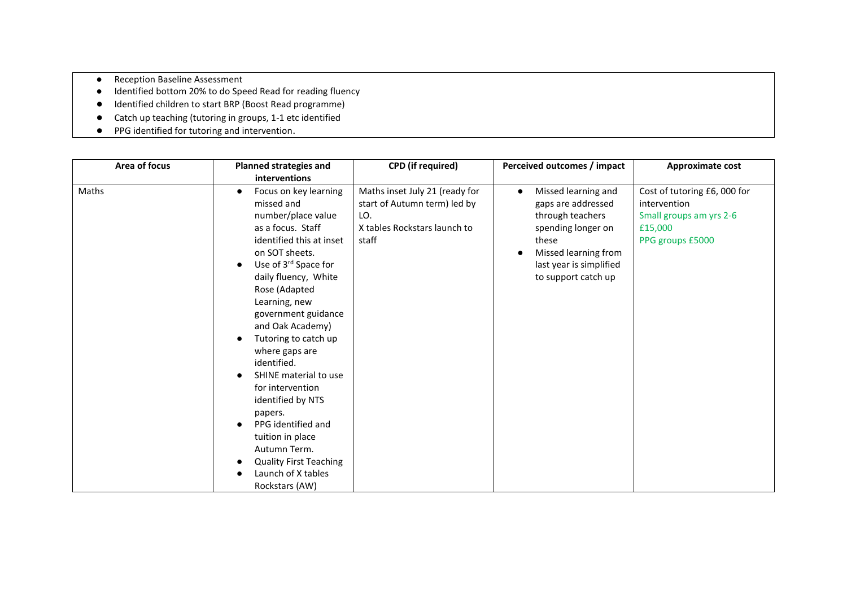- Reception Baseline Assessment
- Identified bottom 20% to do Speed Read for reading fluency
- Identified children to start BRP (Boost Read programme)
- Catch up teaching (tutoring in groups, 1-1 etc identified
- PPG identified for tutoring and intervention.

| Area of focus | <b>Planned strategies and</b>                                                                                                                                                                                                                                                                                                                                                                                                                                                                                                      | <b>CPD</b> (if required)                                                                                       | Perceived outcomes / impact                                                                                                                                                         | Approximate cost                                                                                      |
|---------------|------------------------------------------------------------------------------------------------------------------------------------------------------------------------------------------------------------------------------------------------------------------------------------------------------------------------------------------------------------------------------------------------------------------------------------------------------------------------------------------------------------------------------------|----------------------------------------------------------------------------------------------------------------|-------------------------------------------------------------------------------------------------------------------------------------------------------------------------------------|-------------------------------------------------------------------------------------------------------|
|               | interventions                                                                                                                                                                                                                                                                                                                                                                                                                                                                                                                      |                                                                                                                |                                                                                                                                                                                     |                                                                                                       |
| Maths         | Focus on key learning<br>missed and<br>number/place value<br>as a focus. Staff<br>identified this at inset<br>on SOT sheets.<br>Use of 3rd Space for<br>daily fluency, White<br>Rose (Adapted<br>Learning, new<br>government guidance<br>and Oak Academy)<br>Tutoring to catch up<br>where gaps are<br>identified.<br>SHINE material to use<br>for intervention<br>identified by NTS<br>papers.<br>PPG identified and<br>tuition in place<br>Autumn Term.<br><b>Quality First Teaching</b><br>Launch of X tables<br>Rockstars (AW) | Maths inset July 21 (ready for<br>start of Autumn term) led by<br>LO.<br>X tables Rockstars launch to<br>staff | Missed learning and<br>$\bullet$<br>gaps are addressed<br>through teachers<br>spending longer on<br>these<br>Missed learning from<br>last year is simplified<br>to support catch up | Cost of tutoring £6,000 for<br>intervention<br>Small groups am yrs 2-6<br>£15,000<br>PPG groups £5000 |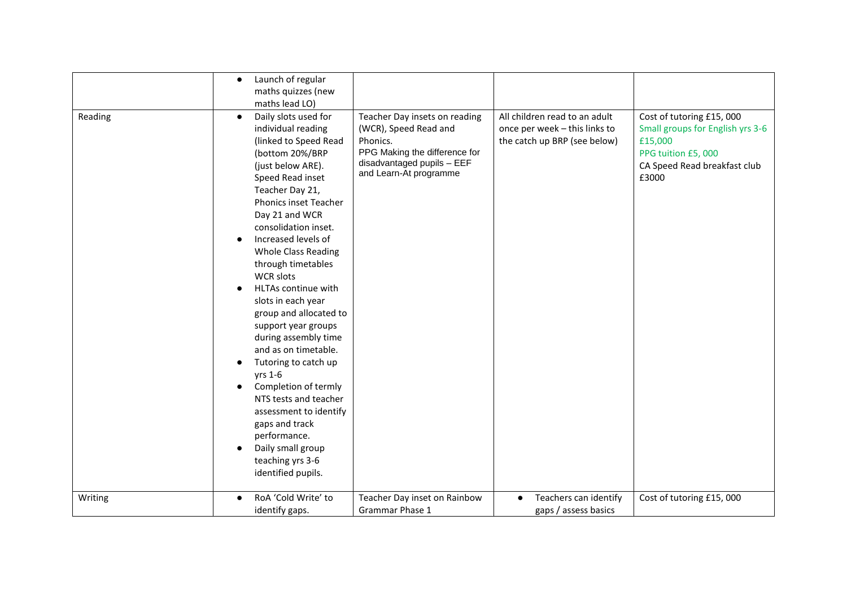|         | Launch of regular<br>$\bullet$                                                                                                                                                                                                                                                                                                                                                                                                                                                                                                                                                                                                                                         |                                                                                                                                                             |                                                                                                |                                                                                                                                        |
|---------|------------------------------------------------------------------------------------------------------------------------------------------------------------------------------------------------------------------------------------------------------------------------------------------------------------------------------------------------------------------------------------------------------------------------------------------------------------------------------------------------------------------------------------------------------------------------------------------------------------------------------------------------------------------------|-------------------------------------------------------------------------------------------------------------------------------------------------------------|------------------------------------------------------------------------------------------------|----------------------------------------------------------------------------------------------------------------------------------------|
|         | maths quizzes (new                                                                                                                                                                                                                                                                                                                                                                                                                                                                                                                                                                                                                                                     |                                                                                                                                                             |                                                                                                |                                                                                                                                        |
|         |                                                                                                                                                                                                                                                                                                                                                                                                                                                                                                                                                                                                                                                                        |                                                                                                                                                             |                                                                                                |                                                                                                                                        |
| Reading | maths lead LO)<br>Daily slots used for<br>$\bullet$<br>individual reading<br>(linked to Speed Read<br>(bottom 20%/BRP<br>(just below ARE).<br>Speed Read inset<br>Teacher Day 21,<br>Phonics inset Teacher<br>Day 21 and WCR<br>consolidation inset.<br>Increased levels of<br><b>Whole Class Reading</b><br>through timetables<br><b>WCR slots</b><br>HLTAs continue with<br>slots in each year<br>group and allocated to<br>support year groups<br>during assembly time<br>and as on timetable.<br>Tutoring to catch up<br>yrs 1-6<br>Completion of termly<br>NTS tests and teacher<br>assessment to identify<br>gaps and track<br>performance.<br>Daily small group | Teacher Day insets on reading<br>(WCR), Speed Read and<br>Phonics.<br>PPG Making the difference for<br>disadvantaged pupils - EEF<br>and Learn-At programme | All children read to an adult<br>once per week - this links to<br>the catch up BRP (see below) | Cost of tutoring £15,000<br>Small groups for English yrs 3-6<br>£15,000<br>PPG tuition £5,000<br>CA Speed Read breakfast club<br>£3000 |
|         | teaching yrs 3-6                                                                                                                                                                                                                                                                                                                                                                                                                                                                                                                                                                                                                                                       |                                                                                                                                                             |                                                                                                |                                                                                                                                        |
|         | identified pupils.                                                                                                                                                                                                                                                                                                                                                                                                                                                                                                                                                                                                                                                     |                                                                                                                                                             |                                                                                                |                                                                                                                                        |
| Writing | RoA 'Cold Write' to                                                                                                                                                                                                                                                                                                                                                                                                                                                                                                                                                                                                                                                    | Teacher Day inset on Rainbow                                                                                                                                | Teachers can identify                                                                          | Cost of tutoring £15,000                                                                                                               |
|         | identify gaps.                                                                                                                                                                                                                                                                                                                                                                                                                                                                                                                                                                                                                                                         | Grammar Phase 1                                                                                                                                             | gaps / assess basics                                                                           |                                                                                                                                        |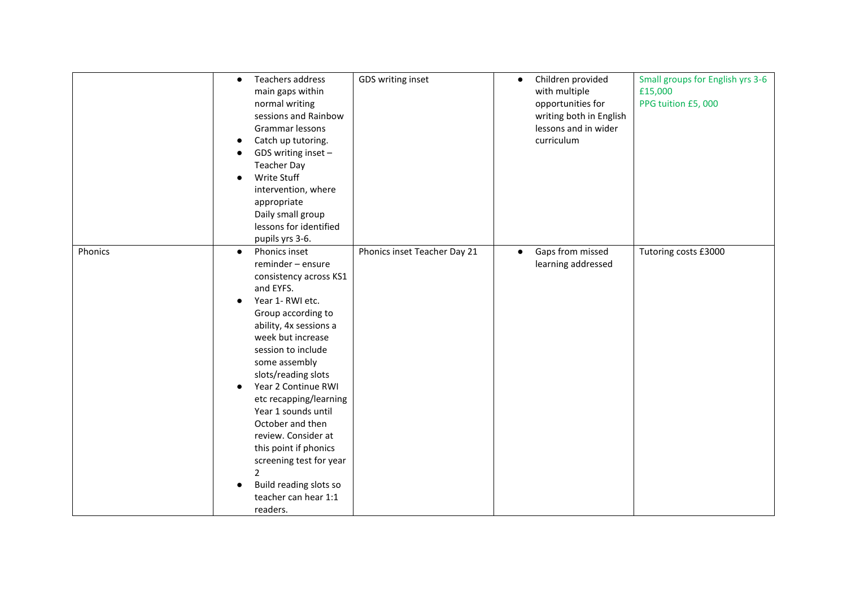|         | Teachers address<br>$\bullet$<br>main gaps within<br>normal writing<br>sessions and Rainbow<br>Grammar lessons<br>Catch up tutoring.<br>GDS writing inset -<br><b>Teacher Day</b><br>Write Stuff<br>intervention, where<br>appropriate<br>Daily small group<br>lessons for identified<br>pupils yrs 3-6.                                                                                                                                                                                | GDS writing inset            | Children provided<br>$\bullet$<br>with multiple<br>opportunities for<br>writing both in English<br>lessons and in wider<br>curriculum | Small groups for English yrs 3-6<br>£15,000<br>PPG tuition £5,000 |
|---------|-----------------------------------------------------------------------------------------------------------------------------------------------------------------------------------------------------------------------------------------------------------------------------------------------------------------------------------------------------------------------------------------------------------------------------------------------------------------------------------------|------------------------------|---------------------------------------------------------------------------------------------------------------------------------------|-------------------------------------------------------------------|
| Phonics | Phonics inset<br>$\bullet$<br>reminder - ensure<br>consistency across KS1<br>and EYFS.<br>Year 1- RWI etc.<br>Group according to<br>ability, 4x sessions a<br>week but increase<br>session to include<br>some assembly<br>slots/reading slots<br>Year 2 Continue RWI<br>etc recapping/learning<br>Year 1 sounds until<br>October and then<br>review. Consider at<br>this point if phonics<br>screening test for year<br>2<br>Build reading slots so<br>teacher can hear 1:1<br>readers. | Phonics inset Teacher Day 21 | Gaps from missed<br>$\bullet$<br>learning addressed                                                                                   | Tutoring costs £3000                                              |